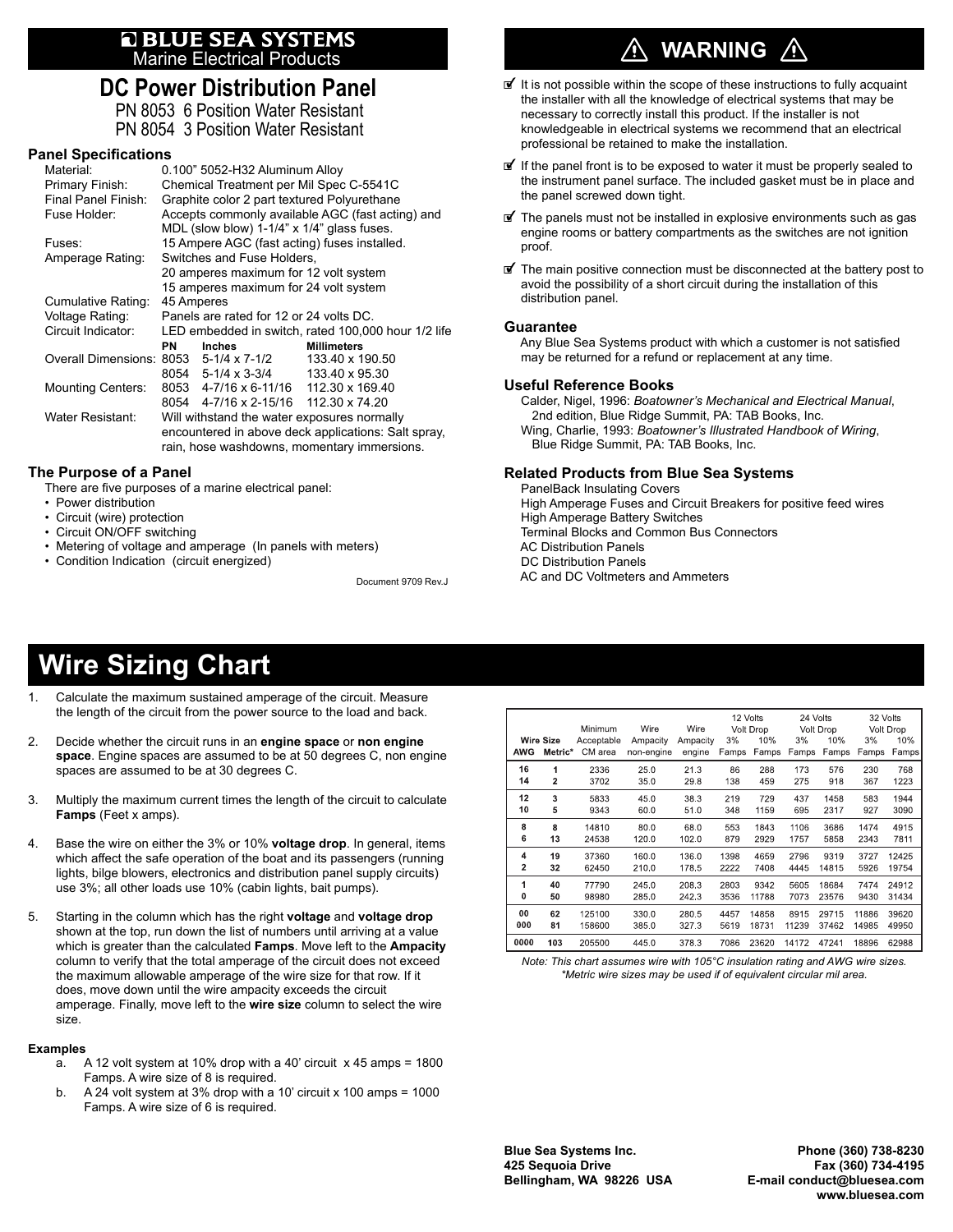# **E BLUE SEA SYSTEMS**<br>Marine Electrical Products

### **DC Power Distribution Panel**

PN 8053 6 Position Water Resistant PN 8054 3 Position Water Resistant

#### **Panel Specifications**

| Material:                              |                                                     | 0.100" 5052-H32 Aluminum Alloy        |                    |  |  |  |  |  |
|----------------------------------------|-----------------------------------------------------|---------------------------------------|--------------------|--|--|--|--|--|
| Primary Finish:                        | Chemical Treatment per Mil Spec C-5541C             |                                       |                    |  |  |  |  |  |
| Final Panel Finish:                    | Graphite color 2 part textured Polyurethane         |                                       |                    |  |  |  |  |  |
| Fuse Holder:                           | Accepts commonly available AGC (fast acting) and    |                                       |                    |  |  |  |  |  |
|                                        | MDL (slow blow) 1-1/4" x 1/4" glass fuses.          |                                       |                    |  |  |  |  |  |
| Fuses:                                 | 15 Ampere AGC (fast acting) fuses installed.        |                                       |                    |  |  |  |  |  |
| Amperage Rating:                       | Switches and Fuse Holders,                          |                                       |                    |  |  |  |  |  |
|                                        | 20 amperes maximum for 12 volt system               |                                       |                    |  |  |  |  |  |
|                                        | 15 amperes maximum for 24 volt system               |                                       |                    |  |  |  |  |  |
| Cumulative Rating:                     | 45 Amperes                                          |                                       |                    |  |  |  |  |  |
| Voltage Rating:                        | Panels are rated for 12 or 24 volts DC.             |                                       |                    |  |  |  |  |  |
| Circuit Indicator:                     | LED embedded in switch, rated 100,000 hour 1/2 life |                                       |                    |  |  |  |  |  |
|                                        | PN                                                  | <b>Inches</b>                         | <b>Millimeters</b> |  |  |  |  |  |
| Overall Dimensions: 8053 5-1/4 x 7-1/2 |                                                     |                                       | 133.40 x 190.50    |  |  |  |  |  |
|                                        |                                                     | 8054 5-1/4 x 3-3/4 133.40 x 95.30     |                    |  |  |  |  |  |
| <b>Mounting Centers:</b>               |                                                     | 8053 4-7/16 x 6-11/16 112.30 x 169.40 |                    |  |  |  |  |  |
|                                        |                                                     | 8054 4-7/16 x 2-15/16 112.30 x 74.20  |                    |  |  |  |  |  |
| Water Resistant:                       | Will withstand the water exposures normally         |                                       |                    |  |  |  |  |  |
|                                        | encountered in above deck applications: Salt spray, |                                       |                    |  |  |  |  |  |
|                                        | rain, hose washdowns, momentary immersions.         |                                       |                    |  |  |  |  |  |

#### **The Purpose of a Panel**

There are five purposes of a marine electrical panel:

- Power distribution
- Circuit (wire) protection
- Circuit ON/OFF switching
- Metering of voltage and amperage (In panels with meters)
- Condition Indication (circuit energized)

Document 9709 Rev.J

### **WARNING**

- It is not possible within the scope of these instructions to fully acquaint the installer with all the knowledge of electrical systems that may be necessary to correctly install this product. If the installer is not knowledgeable in electrical systems we recommend that an electrical professional be retained to make the installation.
- @ If the panel front is to be exposed to water it must be properly sealed to the instrument panel surface. The included gasket must be in place and the panel screwed down tight.
- $\mathbf{F}$  The panels must not be installed in explosive environments such as gas engine rooms or battery compartments as the switches are not ignition proof.
- @ The main positive connection must be disconnected at the battery post to avoid the possibility of a short circuit during the installation of this distribution panel.

#### **Guarantee**

Any Blue Sea Systems product with which a customer is not satisfied may be returned for a refund or replacement at any time.

#### **Useful Reference Books**

 Calder, Nigel, 1996: *Boatowner's Mechanical and Electrical Manual*, 2nd edition, Blue Ridge Summit, PA: TAB Books, Inc. Wing, Charlie, 1993: *Boatowner's Illustrated Handbook of Wiring*, Blue Ridge Summit, PA: TAB Books, Inc.

#### **Related Products from Blue Sea Systems**

 PanelBack Insulating Covers High Amperage Fuses and Circuit Breakers for positive feed wires High Amperage Battery Switches Terminal Blocks and Common Bus Connectors AC Distribution Panels DC Distribution Panels AC and DC Voltmeters and Ammeters

### **Wire Sizing Chart**

- Calculate the maximum sustained amperage of the circuit. Measure the length of the circuit from the power source to the load and back.
- 2. Decide whether the circuit runs in an **engine space** or **non engine space**. Engine spaces are assumed to be at 50 degrees C, non engine spaces are assumed to be at 30 degrees C.
- 3. Multiply the maximum current times the length of the circuit to calculate **Famps** (Feet x amps).
- 4. Base the wire on either the 3% or 10% **voltage drop**. In general, items which affect the safe operation of the boat and its passengers (running lights, bilge blowers, electronics and distribution panel supply circuits) use 3%; all other loads use 10% (cabin lights, bait pumps).
- 5. Starting in the column which has the right **voltage** and **voltage drop** shown at the top, run down the list of numbers until arriving at a value which is greater than the calculated **Famps**. Move left to the **Ampacity** column to verify that the total amperage of the circuit does not exceed the maximum allowable amperage of the wire size for that row. If it does, move down until the wire ampacity exceeds the circuit amperage. Finally, move left to the **wire size** column to select the wire size.

#### **Examples**

- a. A 12 volt system at 10% drop with a 40' circuit x 45 amps = 1800 Famps. A wire size of 8 is required.
- b. A 24 volt system at 3% drop with a 10' circuit x 100 amps = 1000 Famps. A wire size of 6 is required.

| AWG            | <b>Wire Size</b><br>Metric* | Minimum<br>Acceptable<br>CM area | Wire<br>Ampacity<br>non-engine | Wire<br>Ampacity<br>engine | 3%<br>Famps | 12 Volts<br>Volt Drop<br>10%<br>Famps | 24 Volts<br>3%<br>Famps | Volt Drop<br>10%<br>Famps | 3%<br>Famps | 32 Volts<br>Volt Drop<br>10%<br>Famps |
|----------------|-----------------------------|----------------------------------|--------------------------------|----------------------------|-------------|---------------------------------------|-------------------------|---------------------------|-------------|---------------------------------------|
| 16             | 1                           | 2336                             | 25.0                           | 21.3                       | 86          | 288                                   | 173                     | 576                       | 230         | 768                                   |
| 14             | 2                           | 3702                             | 35.0                           | 29.8                       | 138         | 459                                   | 275                     | 918                       | 367         | 1223                                  |
| 12             | 3                           | 5833                             | 45.0                           | 38.3                       | 219         | 729                                   | 437                     | 1458                      | 583         | 1944                                  |
| 10             | 5                           | 9343                             | 60.0                           | 51.0                       | 348         | 1159                                  | 695                     | 2317                      | 927         | 3090                                  |
| 8              | 8                           | 14810                            | 80.0                           | 68.0                       | 553         | 1843                                  | 1106                    | 3686                      | 1474        | 4915                                  |
| 6              | 13                          | 24538                            | 120.0                          | 102.0                      | 879         | 2929                                  | 1757                    | 5858                      | 2343        | 7811                                  |
| 4              | 19                          | 37360                            | 160.0                          | 136.0                      | 1398        | 4659                                  | 2796                    | 9319                      | 3727        | 12425                                 |
| $\overline{2}$ | 32                          | 62450                            | 210.0                          | 178.5                      | 2222        | 7408                                  | 4445                    | 14815                     | 5926        | 19754                                 |
| 1              | 40                          | 77790                            | 245.0                          | 208.3                      | 2803        | 9342                                  | 5605                    | 18684                     | 7474        | 24912                                 |
| 0              | 50                          | 98980                            | 285.0                          | 242.3                      | 3536        | 11788                                 | 7073                    | 23576                     | 9430        | 31434                                 |
| 00             | 62                          | 125100                           | 330.0                          | 280.5                      | 4457        | 14858                                 | 8915                    | 29715                     | 11886       | 39620                                 |
| 000            | 81                          | 158600                           | 385.0                          | 327.3                      | 5619        | 18731                                 | 11239                   | 37462                     | 14985       | 49950                                 |
| 0000           | 103                         | 205500                           | 445.0                          | 378.3                      | 7086        | 23620                                 | 14172                   | 47241                     | 18896       |                                       |

*Note: This chart assumes wire with 105°C insulation rating and AWG wire sizes. \*Metric wire sizes may be used if of equivalent circular mil area.*

**Blue Sea Systems Inc. Phone (360) 738-8230 425 Sequoia Drive Fax (360) 734-4195 Bellingham, WA 98226 USA E-mail conduct@bluesea.com www.bluesea.com**